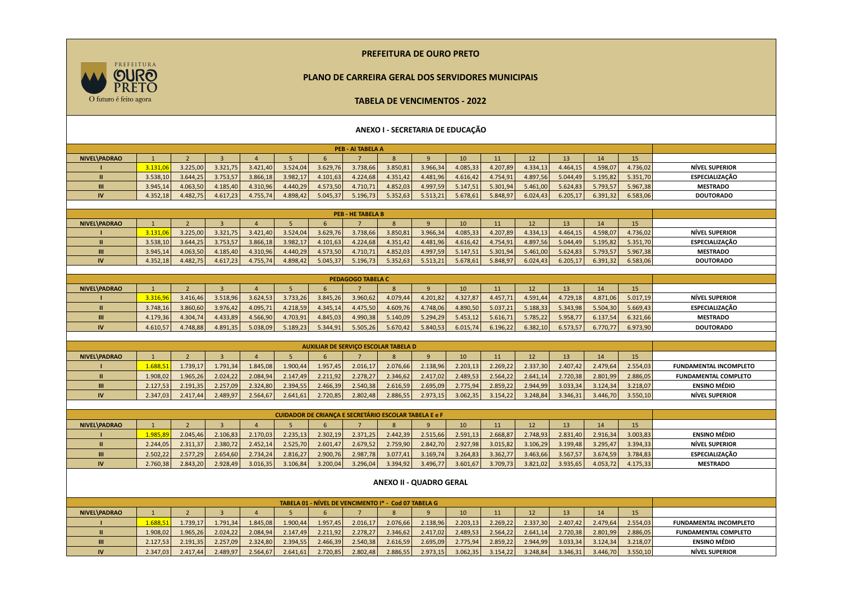## **PREFEITURA DE OURO PRETO**

## **PLANO DE CARREIRA GERAL DOS SERVIDORES MUNICIPAIS**



## **TABELA DE VENCIMENTOS - 2022 ANEXO I - SECRETARIA DE EDUCAÇÃO PEB - AI TABELA A NIVEL\PADRAO** | 1 | 2 | 3 | 4 | 5 | 6 | 7 | 8 | 9 | 10 | 11 | 12 | 13 | 14 | 15 **I** 3.131,06 3.225,00 3.321,75 3.421,40 3.524,04 3.629,76 3.738,66 3.850,81 3.966,34 4.085,33 4.207,89 4.334,13 4.464,15 4.598,07 4.736,02 **NÍVEL SUPERIOR II** 3.538,10 3.644,25 3.753,57 3.866,18 3.982,17 4.101,63 4.224,68 4.351,42 4.481,96 4.616,42 4.754,91 4.897,56 5.044,49 5.195,82 5.351,70 **ESPECIALIZAÇÃO III** 3.945,14 4.063,50 4.185,40 4.310,96 4.440,29 4.573,50 4.710,71 4.852,03 4.997,59 5.147,51 5.301,94 5.461,00 5.624,83 5.793,57 5.967,38 **MESTRADO IV** 4.352,18 4.482,75 4.617,23 4.755,74 4.898,42 5.045,37 5.196,73 5.352,63 5.513,21 5.678,61 5.848,97 6.024,43 6.205,17 6.391,32 6.583,06 **DOUTORADO PEB - HE TABELA B NIVEL\PADRAO** | 1 | 2 | 3 | 4 | 5 | 6 | 7 | 8 | 9 | 10 | 11 | 12 | 13 | 14 | 15 **I** 3.131,06 3.225,00 3.321,75 3.421,40 3.524,04 3.629,76 3.738,66 3.850,81 3.966,34 4.085,33 4.207,89 4.334,13 4.464,15 4.598,07 4.736,02 **NÍVEL SUPERIOR II** 3.538,10 3.644,25 3.753,57 3.866,18 3.982,17 4.101,63 4.224,68 4.351,42 4.481,96 4.616,42 4.754,91 4.897,56 5.044,49 5.195,82 5.351,70 **ESPECIALIZAÇÃO III** 3.945,14 4.063,50 4.185,40 4.310,96 4.440,29 4.573,50 4.710,71 4.852,03 4.997,59 5.147,51 5.301,94 5.461,00 5.624,83 5.793,57 5.967,38 **MESTRADO IV** 4.352,18 4.482,75 4.617,23 4.755,74 4.898,42 5.045,37 5.196,73 5.352,63 5.513,21 5.678,61 5.848,97 6.024,43 6.205,17 6.391,32 6.583,06 **DOUTORADO PEDAGOGO TABELA C NIVEL\PADRAO** | 1 | 2 | 3 | 4 | 5 | 6 | 7 | 8 | 9 | 10 | 11 | 12 | 13 | 14 | 15 **I** 3.316,96 3.416,46 3.518,96 3.624,53 3.733,26 3.845,26 3.960,62 4.079,44 4.201,82 4.327,87 4.457,71 4.591,44 4.729,18 4.871,06 5.017,19 **NÍVEL SUPERIOR II** 3.748,16 3.860,60 3.976,42 4.095,71 4.218,59 4.345,14 4.475,50 4.609,76 4.748,06 4.890,50 5.037,21 5.188,33 5.343,98 5.504,30 5.669,43 **ESPECIALIZAÇÃO III** 4.179,36 4.304,74 4.433,89 4.566,90 4.703,91 4.845,03 4.990,38 5.140,09 5.294,29 5.453,12 5.616,71 5.785,22 5.958,77 6.137,54 6.321,66 **MESTRADO IV** 4.610,57 4.748,88 4.891,35 5.038,09 5.189,23 5.344,91 5.505,26 5.670,42 5.840,53 6.015,74 6.196,22 6.382,10 6.573,57 6.770,77 6.973,90 **DOUTORADO AUXILIAR DE SERVIÇO ESCOLAR TABELA D NIVEL\PADRAO** | 1 | 2 | 3 | 4 | 5 | 6 | 7 | 8 | 9 | 10 | 11 | 12 | 13 | 14 | 15 **I** 1.688,51 1.739,17 1.791,34 1.845,08 1.900,44 1.957,45 2.016,17 2.076,66 2.138,96 2.203,13 2.269,22 2.337,30 2.407,42 2.479,64 2.554,03 **FUNDAMENTAL INCOMPLETO II** 1.908,02 1.965,26 2.024,22 2.084,94 2.147,49 2.211,92 2.278,27 2.346,62 2.417,02 2.489,53 2.564,22 2.641,14 2.720,38 2.801,99 2.886,05 **FUNDAMENTAL COMPLETO III** 2.127,53 2.191,35 2.257,09 2.324,80 2.394,55 2.466,39 2.540,38 2.616,59 2.695,09 2.775,94 2.859,22 2.944,99 3.033,34 3.124,34 3.218,07 **ENSINO MÉDIO IV** 2.347,03 2.417,44 2.489,97 2.564,67 2.641,61 2.720,85 2.802,48 2.886,55 2.973,15 3.062,35 3.154,22 3.248,84 3.346,31 3.446,70 3.550,10 **NÍVEL SUPERIOR CUIDADOR DE CRIANÇA E SECRETÁRIO ESCOLAR TABELA E e F NIVEL\PADRAO** | 1 | 2 | 3 | 4 | 5 | 6 | 7 | 8 | 9 | 10 | 11 | 12 | 13 | 14 | 15 **I** 1.985,89 2.045,46 2.106,83 2.170,03 2.235,13 2.302,19 2.371,25 2.442,39 2.515,66 2.591,13 2.668,87 2.748,93 2.831,40 2.916,34 3.003,83 **ENSINO MÉDIO II** 2.244,05 2.311,37 2.380,72 2.452,14 2.525,70 2.601,47 2.679,52 2.759,90 2.842,70 2.927,98 3.015,82 3.106,29 3.199,48 3.295,47 3.394,33 **NÍVEL SUPERIOR III** 2.502,22 2.577,29 2.654,60 2.734,24 2.816,27 2.900,76 2.987,78 3.077,41 3.169,74 3.264,83 3.362,77 3.463,66 3.567,57 3.674,59 3.784,83 **ESPECIALIZAÇÃO IV** 2.760,38 2.843,20 2.928,49 3.016,35 3.106,84 3.200,04 3.296,04 3.394,92 3.496,77 3.601,67 3.709,73 3.821,02 3.935,65 4.053,72 4.175,33 **MESTRADO ANEXO II - QUADRO GERAL TABELA 01 - NÍVEL DE VENCIMENTO I\* - Cod 07 TABELA G**

|              | TABELA 01 - NIVEL DE VENCIMENTO I* - Cod 07 TABELA G |          |          |          |          |          |          |          |          |              |          |          |          |          |          |                               |
|--------------|------------------------------------------------------|----------|----------|----------|----------|----------|----------|----------|----------|--------------|----------|----------|----------|----------|----------|-------------------------------|
| NIVEL\PADRAO |                                                      |          |          |          |          |          |          |          |          | $10^{\circ}$ |          |          |          | 14       | 15       |                               |
|              | 1.688.51                                             | 1.739.17 | .791.34  | 1.845.08 | 1.900.44 | 1.957,45 | 2.016,17 | 2.076.66 | 2.138.96 | 2.203.13     | 2.269.22 | 2.337.30 | 2.407.42 | 2.479.64 | 2.554.03 | <b>FUNDAMENTAL INCOMPLETO</b> |
|              | .908,02                                              | 1.965.26 | 2.024,22 | 2.084,94 | 2.147.49 | 2.211,92 | 2.278,27 | 2.346,62 | 2.417,02 | 2.489,53     | 2.564,22 | 2.641.14 | 2.720.38 | 2.801.99 | 2.886,05 | <b>FUNDAMENTAL COMPLETO</b>   |
| Ш            | 2.127.53                                             | 2.191.35 | 2.257.09 | 2.324.80 | 2.394.55 | 2.466,39 | 2.540,38 | 2.616,59 | 2.695,09 | 2.775.94     | 2.859.22 | 2.944.99 | 3.033.34 | 3.124.34 | 3.218.07 | <b>ENSINO MÉDIO</b>           |
| <b>IV</b>    | 2.347.03                                             | 2.417.44 | 2.489,97 | 2.564,67 | 2.641.61 | 2.720,85 | 2.802,48 | 2.886,55 | 2.973,15 | 3.062,35     | 3.154,22 | 3.248,84 | 3.346,31 | 3.446.70 | 3.550,10 | <b>NÍVEL SUPERIOR</b>         |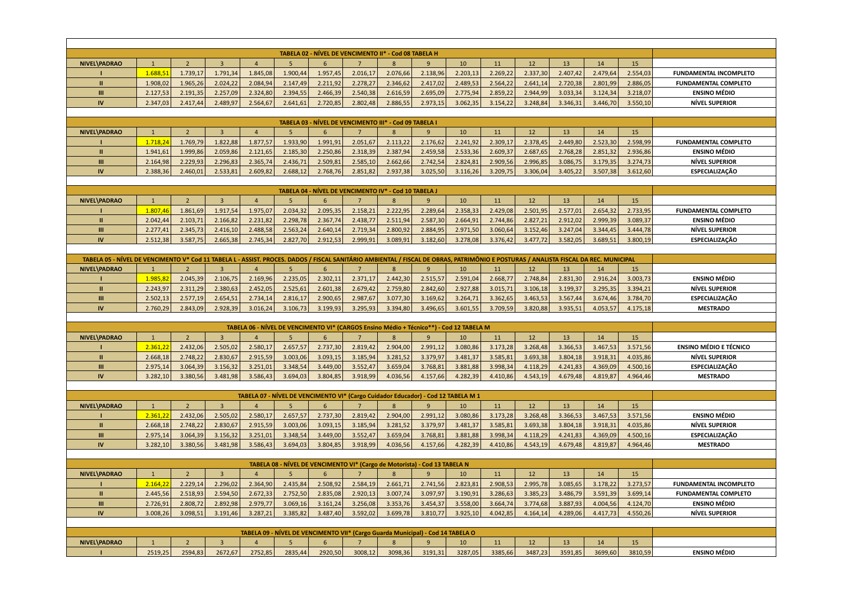| TABELA 02 - NÍVEL DE VENCIMENTO II* - Cod 08 TABELA H                                                                                                                                |                      |                      |                         |                      |                      |                                                                                         |                      |                      |                      |                      |                      |                      |                      |                      |                      |                                   |
|--------------------------------------------------------------------------------------------------------------------------------------------------------------------------------------|----------------------|----------------------|-------------------------|----------------------|----------------------|-----------------------------------------------------------------------------------------|----------------------|----------------------|----------------------|----------------------|----------------------|----------------------|----------------------|----------------------|----------------------|-----------------------------------|
|                                                                                                                                                                                      |                      |                      |                         |                      |                      |                                                                                         |                      |                      |                      |                      |                      |                      |                      |                      |                      |                                   |
| <b>NIVEL\PADRAO</b>                                                                                                                                                                  | $\mathbf{1}$         | $\overline{2}$       | $\overline{3}$          | $\overline{4}$       | 5                    | 6                                                                                       | 7                    | 8                    | 9                    | 10                   | 11                   | 12                   | 13                   | 14                   | 15                   |                                   |
|                                                                                                                                                                                      | 1.688,51             | 1.739,17             | 1.791,34                | 1.845,08             | 1.900,44             | 1.957,45                                                                                | 2.016,17             | 2.076,66             | 2.138,96             | 2.203,13             | 2.269,22             | 2.337,30             | 2.407,42             | 2.479,64             | 2.554,03             | <b>FUNDAMENTAL INCOMPLETO</b>     |
| $\mathbf{H}$                                                                                                                                                                         | 1.908,02             | 1.965,26             | 2.024,22                | 2.084,94             | 2.147,49             | 2.211,92                                                                                | 2.278,27             | 2.346,62             | 2.417,02             | 2.489,53             | 2.564,22             | 2.641,14             | 2.720,38             | 2.801,99             | 2.886,05             | <b>FUNDAMENTAL COMPLETO</b>       |
| $\mathbf{m}$                                                                                                                                                                         | 2.127,53             | 2.191,35             | 2.257,09                | 2.324,80             | 2.394,55             | 2.466,39                                                                                | 2.540,38             | 2.616,59             | 2.695,09             | 2.775,94             | 2.859,22             | 2.944,99             | 3.033,34             | 3.124,34             | 3.218,07             | <b>ENSINO MÉDIO</b>               |
| <b>IV</b>                                                                                                                                                                            | 2.347,03             | 2.417.44             | 2.489,97                | 2.564,67             | 2.641,61             | 2.720,85                                                                                | 2.802,48             | 2.886,55             | 2.973,15             | 3.062,35             | 3.154,22             | 3.248,84             | 3.346,31             | 3.446,70             | 3.550,10             | <b>NÍVEL SUPERIOR</b>             |
| TABELA 03 - NÍVEL DE VENCIMENTO III* - Cod 09 TABELA I                                                                                                                               |                      |                      |                         |                      |                      |                                                                                         |                      |                      |                      |                      |                      |                      |                      |                      |                      |                                   |
|                                                                                                                                                                                      |                      |                      |                         |                      |                      |                                                                                         |                      |                      |                      |                      |                      |                      |                      |                      |                      |                                   |
| <b>NIVEL\PADRAO</b>                                                                                                                                                                  | $\mathbf{1}$         | $\overline{2}$       | $\overline{3}$          | $\overline{4}$       | $5\overline{5}$      | 6                                                                                       | $\overline{7}$       | $\mathbf{8}$         | 9                    | 10                   | 11                   | 12                   | 13                   | 14                   | 15                   |                                   |
|                                                                                                                                                                                      | 1.718,24             | 1.769,79             | 1.822,88                | 1.877,57             | 1.933,90             | 1.991,91                                                                                | 2.051,67             | 2.113,22             | 2.176,62             | 2.241,92             | 2.309,17             | 2.378,45             | 2.449,80             | 2.523,30             | 2.598,99             | <b>FUNDAMENTAL COMPLETO</b>       |
| $\mathbf{H}$                                                                                                                                                                         | 1.941,61             | 1.999,86             | 2.059,86                | 2.121,65             | 2.185,30             | 2.250,86                                                                                | 2.318,39             | 2.387,94             | 2.459,58             | 2.533,36             | 2.609,37             | 2.687,65             | 2.768,28             | 2.851,32             | 2.936,86             | <b>ENSINO MÉDIO</b>               |
| $\mathbf{m}$                                                                                                                                                                         | 2.164,98             | 2.229,93             | 2.296,83                | 2.365,74             | 2.436,71             | 2.509,81                                                                                | 2.585,10             | 2.662,66             | 2.742,54             | 2.824,81             | 2.909,56             | 2.996,85             | 3.086,75             | 3.179,35             | 3.274,73             | <b>NÍVEL SUPERIOR</b>             |
| IV                                                                                                                                                                                   | 2.388,36             | 2.460,01             | 2.533,81                | 2.609,82             | 2.688,12             | 2.768,76                                                                                | 2.851,82             | 2.937,38             | 3.025,50             | 3.116,26             | 3.209,75             | 3.306,04             | 3.405,22             | 3.507,38             | 3.612,60             | <b>ESPECIALIZAÇÃO</b>             |
| TABELA 04 - NÍVEL DE VENCIMENTO IV* - Cod 10 TABELA J                                                                                                                                |                      |                      |                         |                      |                      |                                                                                         |                      |                      |                      |                      |                      |                      |                      |                      |                      |                                   |
|                                                                                                                                                                                      |                      |                      |                         |                      |                      |                                                                                         |                      |                      |                      |                      |                      |                      |                      |                      |                      |                                   |
| <b>NIVEL\PADRAO</b>                                                                                                                                                                  | $\mathbf{1}$         | $\overline{2}$       | $\overline{3}$          | $\overline{4}$       | 5                    | 6                                                                                       | 7                    | 8                    | 9                    | 10                   | 11                   | 12                   | 13                   | 14                   | 15                   |                                   |
|                                                                                                                                                                                      | 1.807.46             | 1.861.69             | 1.917,54                | 1.975,07             | 2.034,32             | 2.095,35                                                                                | 2.158,21             | 2.222,95             | 2.289,64             | 2.358,33             | 2.429,08             | 2.501,95             | 2.577,01             | 2.654,32             | 2.733,95             | <b>FUNDAMENTAL COMPLETO</b>       |
| $\mathbf{H}$                                                                                                                                                                         | 2.042,44             | 2.103,71             | 2.166,82                | 2.231,82             | 2.298,78             | 2.367,74                                                                                | 2.438,77             | 2.511,94             | 2.587,30             | 2.664,91             | 2.744,86             | 2.827,21             | 2.912,02             | 2.999,39             | 3.089,37             | <b>ENSINO MÉDIO</b>               |
| Ш                                                                                                                                                                                    | 2.277,41             | 2.345,73             | 2.416,10                | 2.488,58             | 2.563,24             | 2.640,14                                                                                | 2.719,34             | 2.800,92             | 2.884,95             | 2.971,50             | 3.060,64             | 3.152,46             | 3.247,04             | 3.344,45             | 3.444,78             | <b>NÍVEL SUPERIOR</b>             |
| IV                                                                                                                                                                                   | 2.512,38             | 3.587,75             | 2.665,38                | 2.745,34             | 2.827,70             | 2.912,53                                                                                | 2.999,91             | 3.089,91             | 3.182,60             | 3.278,08             | 3.376,42             | 3.477,72             | 3.582,05             | 3.689,51             | 3.800,19             | <b>ESPECIALIZAÇÃO</b>             |
| TABELA 05 - NÍVEL DE VENCIMENTO V* Cod 11 TABELA L - ASSIST. PROCES. DADOS / FISCAL SANITÁRIO AMBIENTAL / FISCAL DE OBRAS, PATRIMÔNIO E POSTURAS / ANALISTA FISCAL DA REC. MUNICIPAL |                      |                      |                         |                      |                      |                                                                                         |                      |                      |                      |                      |                      |                      |                      |                      |                      |                                   |
|                                                                                                                                                                                      |                      |                      |                         |                      |                      |                                                                                         |                      |                      |                      |                      |                      |                      |                      |                      |                      |                                   |
| <b>NIVEL\PADRAO</b>                                                                                                                                                                  | -1                   | $\overline{2}$       | $\overline{3}$          | 4                    | 5                    | 6                                                                                       | 7                    | 8                    | 9                    | 10                   | 11                   | 12                   | 13                   | 14                   | 15                   |                                   |
|                                                                                                                                                                                      | 1.985,82             | 2.045,39             | 2.106,75                | 2.169,96             | 2.235,05             | 2.302,11                                                                                | 2.371,17             | 2.442,30             | 2.515,57             | 2.591,04             | 2.668,77             | 2.748,84             | 2.831,30             | 2.916,24             | 3.003,73             | <b>ENSINO MÉDIO</b>               |
| $\mathbf{H}$                                                                                                                                                                         | 2.243,97             | 2.311,29             | 2.380,63                | 2.452,05             | 2.525,61             | 2.601,38                                                                                | 2.679,42             | 2.759,80             | 2.842,60             | 2.927,88             | 3.015,71             | 3.106,18             | 3.199,37             | 3.295,35             | 3.394,21             | <b>NÍVEL SUPERIOR</b>             |
| III                                                                                                                                                                                  | 2.502,13             | 2.577,19             | 2.654,51                | 2.734,14             | 2.816,17             | 2.900,65                                                                                | 2.987,67             | 3.077,30             | 3.169,62             | 3.264,71             | 3.362,65             | 3.463,53             | 3.567,44             | 3.674,46             | 3.784,70             | <b>ESPECIALIZAÇÃO</b>             |
| IV                                                                                                                                                                                   | 2.760,29             | 2.843,09             | 2.928,39                | 3.016,24             | 3.106,73             | 3.199,93                                                                                | 3.295,93             | 3.394,80             | 3.496,65             | 3.601,55             | 3.709,59             | 3.820,88             | 3.935,51             | 4.053,57             | 4.175,18             | <b>MESTRADO</b>                   |
|                                                                                                                                                                                      |                      |                      |                         |                      |                      |                                                                                         |                      |                      |                      |                      |                      |                      |                      |                      |                      |                                   |
|                                                                                                                                                                                      |                      |                      |                         |                      |                      | TABELA 06 - NÍVEL DE VENCIMENTO VI* (CARGOS Ensino Médio + Técnico**) - Cod 12 TABELA M |                      |                      |                      |                      |                      |                      |                      |                      |                      |                                   |
| NIVEL\PADRAO                                                                                                                                                                         | $\mathbf{1}$         | $\overline{2}$       | $\overline{\mathbf{z}}$ | $\Delta$             | 5                    | 6                                                                                       | $\overline{7}$       | $\mathbf{8}$         | 9                    | 10                   | 11                   | 12                   | 13                   | 14                   | 15                   |                                   |
|                                                                                                                                                                                      | 2.361.22             | 2.432.06             | 2.505,02                | 2.580,17             | 2.657,57             | 2.737,30                                                                                | 2.819,42             | 2.904,00             | 2.991,12             | 3.080,86             | 3.173,28             | 3.268,48             | 3.366,53             | 3.467,53             | 3.571,56             | <b>ENSINO MÉDIO E TÉCNICO</b>     |
| $\mathbf{H}$                                                                                                                                                                         | 2.668,18             | 2.748,22             | 2.830,67                | 2.915,59             | 3.003,06             | 3.093,15                                                                                | 3.185,94             | 3.281,52             | 3.379,97             | 3.481,37             | 3.585,81             | 3.693,38             | 3.804,18             | 3.918,31             | 4.035,86             | <b>NÍVEL SUPERIOR</b>             |
| Ш                                                                                                                                                                                    | 2.975,14             | 3.064,39             | 3.156,32                | 3.251,01             | 3.348,54             | 3.449,00                                                                                | 3.552,47             | 3.659,04             | 3.768,81             | 3.881,88             | 3.998,34             | 4.118,29             | 4.241,83             | 4.369,09             | 4.500,16             | ESPECIALIZAÇÃO                    |
| IV                                                                                                                                                                                   | 3.282,10             | 3.380,56             | 3.481,98                | 3.586,43             | 3.694,03             | 3.804,85                                                                                | 3.918,99             | 4.036,56             | 4.157,66             | 4.282,39             | 4.410,86             | 4.543,19             | 4.679,48             | 4.819,87             | 4.964,46             | <b>MESTRADO</b>                   |
|                                                                                                                                                                                      |                      |                      |                         |                      |                      |                                                                                         |                      |                      |                      |                      |                      |                      |                      |                      |                      |                                   |
|                                                                                                                                                                                      |                      |                      |                         |                      |                      | TABELA 07 - NÍVEL DE VENCIMENTO VI* (Cargo Cuidador Educador) - Cod 12 TABELA M 1       |                      |                      |                      |                      |                      |                      |                      |                      |                      |                                   |
| NIVEL\PADRAO                                                                                                                                                                         | $\mathbf{1}$         | $\overline{2}$       | $\overline{3}$          | $\overline{a}$       | -5                   | 6                                                                                       | $\overline{7}$       | $\mathbf{R}$         | 9                    | 10                   | 11                   | 12                   | 13                   | 14                   | 15                   |                                   |
|                                                                                                                                                                                      | 2.361,22             | 2.432,06             | 2.505,02                | 2.580,17             | 2.657,57             | 2.737,30                                                                                | 2.819,42             | 2.904,00             | 2.991,12             | 3.080,86             | 3.173,28             | 3.268,48             | 3.366,53             | 3.467,53             | 3.571,56             | <b>ENSINO MÉDIO</b>               |
| $\mathbf{u}$                                                                                                                                                                         | 2.668,18             | 2.748,22             | 2.830,67                | 2.915,59             | 3.003,06             | 3.093,15                                                                                | 3.185,94             | 3.281,52             | 3.379,97             | 3.481,37             | 3.585,81             | 3.693,38             | 3.804,18             | 3.918,31             | 4.035,86             | <b>NÍVEL SUPERIOR</b>             |
| Ш<br>IV                                                                                                                                                                              | 2.975,14<br>3.282,10 | 3.064,39<br>3.380,56 | 3.156,32<br>3.481,98    | 3.251,01<br>3.586,43 | 3.348,54<br>3.694,03 | 3.449,00<br>3.804,85                                                                    | 3.552,47<br>3.918,99 | 3.659,04<br>4.036,56 | 3.768,81<br>4.157,66 | 3.881,88<br>4.282,39 | 3.998,34<br>4.410,86 | 4.118,29<br>4.543,19 | 4.241,83<br>4.679,48 | 4.369,09<br>4.819,87 | 4.500,16<br>4.964,46 | ESPECIALIZAÇÃO<br><b>MESTRADO</b> |
|                                                                                                                                                                                      |                      |                      |                         |                      |                      |                                                                                         |                      |                      |                      |                      |                      |                      |                      |                      |                      |                                   |
|                                                                                                                                                                                      |                      |                      |                         |                      |                      |                                                                                         |                      |                      |                      |                      |                      |                      |                      |                      |                      |                                   |
|                                                                                                                                                                                      | $\mathbf{1}$         | $\overline{2}$       | $\overline{3}$          | $\overline{4}$       | $5\overline{5}$      | TABELA 08 - NÍVEL DE VENCIMENTO VI* (Cargo de Motorista) - Cod 13 TABELA N<br>6         | $\overline{7}$       | $\mathbf{8}$         | $\overline{9}$       | 10                   | 11                   | 12                   | 13                   | 14                   | 15                   |                                   |
| <b>NIVEL\PADRAO</b>                                                                                                                                                                  |                      |                      |                         |                      |                      |                                                                                         |                      |                      |                      |                      |                      |                      |                      |                      |                      |                                   |
| $\mathbf{H}$                                                                                                                                                                         | 2.164,22             | 2.229,14             | 2.296,02                | 2.364,90             | 2.435,84             | 2.508,92                                                                                | 2.584,19             | 2.661,71             | 2.741,56             | 2.823,81             | 2.908,53             | 2.995,78             | 3.085,65             | 3.178,22             | 3.273,57             | <b>FUNDAMENTAL INCOMPLETO</b>     |
|                                                                                                                                                                                      | 2.445,56             | 2.518,93             | 2.594,50                | 2.672,33             | 2.752,50             | 2.835,08                                                                                | 2.920,13             | 3.007,74             | 3.097,97             | 3.190,91             | 3.286,63             | 3.385,23             | 3.486,79             | 3.591,39             | 3.699,14             | <b>FUNDAMENTAL COMPLETO</b>       |
| $\mathbf{m}$                                                                                                                                                                         | 2.726,91             | 2.808,72             | 2.892,98                | 2.979,77             | 3.069,16             | 3.161,24                                                                                | 3.256,08             | 3.353,76             | 3.454,37             | 3.558,00             | 3.664,74             | 3.774,68             | 3.887,93             | 4.004,56             | 4.124,70             | <b>ENSINO MÉDIO</b>               |
| IV                                                                                                                                                                                   | 3.008,26             | 3.098,51             | 3.191,46                | 3.287,21             | 3.385,82             | 3.487,40                                                                                | 3.592,02             | 3.699,78             | 3.810,77             | 3.925,10             | 4.042,85             | 4.164,14             | 4.289,06             | 4.417,73             | 4.550,26             | <b>NÍVEL SUPERIOR</b>             |
|                                                                                                                                                                                      |                      |                      |                         |                      |                      |                                                                                         |                      |                      |                      |                      |                      |                      |                      |                      |                      |                                   |
|                                                                                                                                                                                      |                      |                      |                         |                      |                      | TABELA 09 - NÍVEL DE VENCIMENTO VII* (Cargo Guarda Municipal) - Cod 14 TABELA O         |                      |                      |                      |                      |                      |                      |                      |                      |                      |                                   |
| <b>NIVEL\PADRAO</b>                                                                                                                                                                  | $\mathbf{1}$         | $\overline{2}$       | $\overline{3}$          | $\overline{a}$       | 5                    | $6\overline{6}$                                                                         |                      | $\mathbf{R}$         | 9                    | 10                   | 11                   | 12                   | 13                   | 14                   | 15                   |                                   |
|                                                                                                                                                                                      | 2519,25              | 2594,83              | 2672,67                 | 2752,85              | 2835,44              | 2920,50                                                                                 | 3008,12              | 3098,36              | 3191,31              | 3287,05              | 3385,66              | 3487,23              | 3591,85              | 3699,60              | 3810,59              | <b>ENSINO MÉDIO</b>               |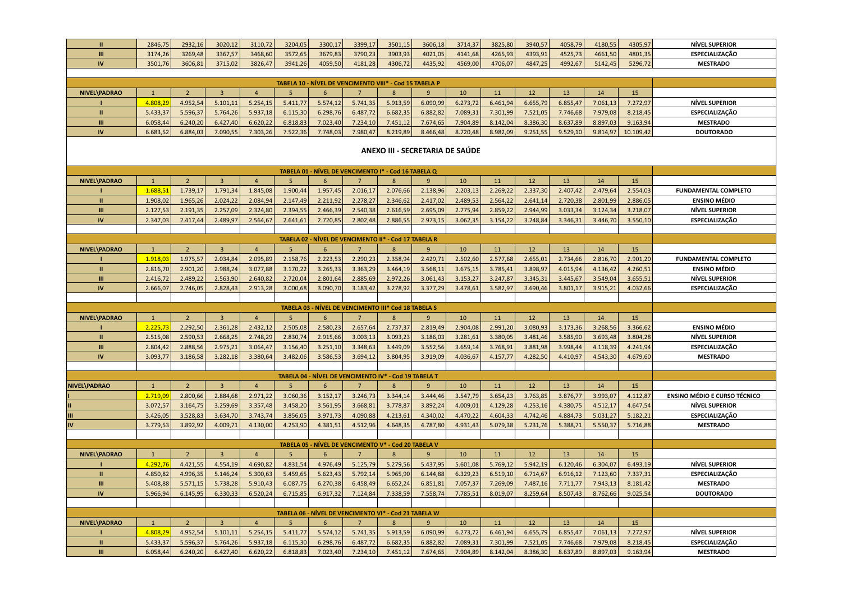| $\mathbf{u}$   | 2846,75        | 2932,16        | 3020,12                 | 3110,72        | 3204,05        | 3300,17         | 3399,17         | 3501,15                                                 | 3606,18        | 3714,37  | 3825,80  | 3940,57  | 4058,79  | 4180,55  | 4305,97   | <b>NÍVEL SUPERIOR</b>               |
|----------------|----------------|----------------|-------------------------|----------------|----------------|-----------------|-----------------|---------------------------------------------------------|----------------|----------|----------|----------|----------|----------|-----------|-------------------------------------|
| III            | 3174,26        | 3269,48        | 3367,57                 | 3468,60        | 3572,65        | 3679,83         | 3790,23         | 3903,93                                                 | 4021,05        | 4141,68  | 4265,93  | 4393,91  | 4525,73  | 4661,50  | 4801,35   | <b>ESPECIALIZAÇÃO</b>               |
| IV             | 3501,76        | 3606,81        | 3715,02                 | 3826,47        | 3941,26        | 4059,50         | 4181,28         | 4306,72                                                 | 4435,92        | 4569,00  | 4706,07  | 4847,25  | 4992,67  | 5142,45  | 5296,72   | <b>MESTRADO</b>                     |
|                |                |                |                         |                |                |                 |                 |                                                         |                |          |          |          |          |          |           |                                     |
|                |                |                |                         |                |                |                 |                 | TABELA 10 - NÍVEL DE VENCIMENTO VIII* - Cod 15 TABELA P |                |          |          |          |          |          |           |                                     |
| NIVEL\PADRAO   | $\mathbf{1}$   | $\overline{2}$ | $\overline{\mathbf{3}}$ | $\overline{4}$ | 5              | $6\overline{6}$ | $\overline{7}$  | $\overline{8}$                                          | 9              | 10       | 11       | 12       | 13       | 14       | 15        |                                     |
|                | 4.808,29       | 4.952,54       | 5.101,11                | 5.254,15       | 5.411,77       | 5.574,12        | 5.741,35        | 5.913,59                                                | 6.090,99       | 6.273,72 | 6.461,94 | 6.655,79 | 6.855,47 | 7.061,13 | 7.272,97  | <b>NÍVEL SUPERIOR</b>               |
| $\mathbf{u}$   | 5.433,37       | 5.596,37       | 5.764,26                | 5.937,18       | 6.115,30       | 6.298,76        | 6.487,72        | 6.682,35                                                | 6.882,82       | 7.089,31 | 7.301,99 | 7.521,05 | 7.746,68 | 7.979,08 | 8.218,45  | ESPECIALIZAÇÃO                      |
| m              | 6.058,44       | 6.240,20       | 6.427,40                | 6.620,22       | 6.818,83       | 7.023,40        | 7.234,10        | 7.451,12                                                | 7.674,65       | 7.904,89 | 8.142,04 | 8.386,30 | 8.637,89 | 8.897,03 | 9.163,94  | <b>MESTRADO</b>                     |
| <b>IV</b>      | 6.683,52       | 6.884,03       | 7.090,55                | 7.303,26       | 7.522,36       | 7.748,03        | 7.980,47        | 8.219,89                                                | 8.466,48       | 8.720,48 | 8.982,09 | 9.251,55 | 9.529,10 | 9.814,97 | 10.109,42 | <b>DOUTORADO</b>                    |
|                |                |                |                         |                |                |                 |                 |                                                         |                |          |          |          |          |          |           |                                     |
|                |                |                |                         |                |                |                 |                 | ANEXO III - SECRETARIA DE SAÚDE                         |                |          |          |          |          |          |           |                                     |
|                |                |                |                         |                |                |                 |                 |                                                         |                |          |          |          |          |          |           |                                     |
|                |                |                |                         |                |                |                 |                 | TABELA 01 - NÍVEL DE VENCIMENTO I* - Cod 16 TABELA Q    |                |          |          |          |          |          |           |                                     |
| NIVEL\PADRAO   | $\mathbf{1}$   | $\overline{2}$ | $\overline{\mathbf{3}}$ | $\overline{4}$ | $\overline{5}$ | 6               | $7\overline{ }$ | 8                                                       | 9              | 10       | 11       | 12       | 13       | 14       | 15        |                                     |
|                | 1.688,51       | 1.739,17       | 1.791,34                | 1.845,08       | 1.900,44       | 1.957,45        | 2.016,17        | 2.076,66                                                | 2.138,96       | 2.203,13 | 2.269,22 | 2.337,30 | 2.407,42 | 2.479,64 | 2.554,03  | <b>FUNDAMENTAL COMPLETO</b>         |
| $\mathbf{u}$   | 1.908,02       | 1.965,26       | 2.024,22                | 2.084,94       | 2.147,49       | 2.211,92        | 2.278,27        | 2.346,62                                                | 2.417,02       | 2.489,53 | 2.564,22 | 2.641,14 | 2.720,38 | 2.801,99 | 2.886,05  | <b>ENSINO MÉDIO</b>                 |
| Ш<br><b>IV</b> | 2.127,53       | 2.191,35       | 2.257,09                | 2.324,80       | 2.394,55       | 2.466,39        | 2.540,38        | 2.616,59                                                | 2.695,09       | 2.775,94 | 2.859,22 | 2.944,99 | 3.033,34 | 3.124,34 | 3.218,07  | <b>NÍVEL SUPERIOR</b>               |
|                | 2.347,03       | 2.417,44       | 2.489,97                | 2.564,67       | 2.641,61       | 2.720,85        | 2.802,48        | 2.886,55                                                | 2.973,15       | 3.062,35 | 3.154,22 | 3.248,84 | 3.346,31 | 3.446,70 | 3.550,10  | <b>ESPECIALIZAÇÃO</b>               |
|                |                |                |                         |                |                |                 |                 | TABELA 02 - NÍVEL DE VENCIMENTO II* - Cod 17 TABELA R   |                |          |          |          |          |          |           |                                     |
| NIVEL\PADRAO   | $\mathbf{1}$   | $\overline{2}$ | $\overline{3}$          | $\overline{4}$ | 5              | 6               | $\overline{7}$  | 8                                                       | $\overline{9}$ | 10       | 11       | 12       | 13       | 14       | 15        |                                     |
|                | 1.918,03       | 1.975,57       | 2.034,84                | 2.095,89       | 2.158,76       | 2.223,53        | 2.290,23        | 2.358,94                                                | 2.429,71       | 2.502,60 | 2.577,68 | 2.655,01 | 2.734,66 | 2.816,70 | 2.901,20  | <b>FUNDAMENTAL COMPLETO</b>         |
| $\mathbf{u}$   | 2.816,70       | 2.901,20       | 2.988,24                | 3.077,88       | 3.170,22       | 3.265,33        | 3.363,29        | 3.464,19                                                | 3.568,11       | 3.675,15 | 3.785,41 | 3.898,97 | 4.015,94 | 4.136,42 | 4.260,51  | <b>ENSINO MÉDIO</b>                 |
| $\mathbf{m}$   | 2.416,72       | 2.489,22       | 2.563,90                | 2.640,82       | 2.720,04       | 2.801,64        | 2.885,69        | 2.972,26                                                | 3.061,43       | 3.153,27 | 3.247,87 | 3.345,31 | 3.445,67 | 3.549,04 | 3.655,51  | <b>NÍVEL SUPERIOR</b>               |
| $\mathsf{IV}$  | 2.666,07       | 2.746,05       | 2.828,43                | 2.913,28       | 3.000,68       | 3.090,70        | 3.183,42        | 3.278,92                                                | 3.377,29       | 3.478,61 | 3.582,97 | 3.690,46 | 3.801,17 | 3.915,21 | 4.032,66  | ESPECIALIZAÇÃO                      |
|                |                |                |                         |                |                |                 |                 |                                                         |                |          |          |          |          |          |           |                                     |
|                |                |                |                         |                |                |                 |                 | TABELA 03 - NÍVEL DE VENCIMENTO III* Cod 18 TABELA S    |                |          |          |          |          |          |           |                                     |
| NIVEL\PADRAO   | $\mathbf{1}$   | $\overline{2}$ | $\overline{3}$          | $\overline{4}$ | $\overline{5}$ | $6\overline{6}$ | $\overline{7}$  | $\mathbf{8}$                                            | $\mathbf{q}$   | 10       | 11       | 12       | 13       | 14       | 15        |                                     |
|                | 2.225,73       | 2.292,50       | 2.361,28                | 2.432,12       | 2.505,08       | 2.580,23        | 2.657,64        | 2.737,37                                                | 2.819,49       | 2.904,08 | 2.991,20 | 3.080,93 | 3.173,36 | 3.268,56 | 3.366,62  | <b>ENSINO MÉDIO</b>                 |
| $\mathbf{u}$   | 2.515,08       | 2.590,53       | 2.668,25                | 2.748,29       | 2.830,74       | 2.915,66        | 3.003,13        | 3.093,23                                                | 3.186,03       | 3.281,61 | 3.380,05 | 3.481,46 | 3.585,90 | 3.693,48 | 3.804,28  | <b>NÍVEL SUPERIOR</b>               |
| m              | 2.804,42       | 2.888,56       | 2.975,21                | 3.064,47       | 3.156,40       | 3.251,10        | 3.348,63        | 3.449,09                                                | 3.552,56       | 3.659,14 | 3.768,91 | 3.881,98 | 3.998,44 | 4.118,39 | 4.241,94  | ESPECIALIZAÇÃO                      |
| <b>IV</b>      | 3.093,77       | 3.186,58       | 3.282,18                | 3.380,64       | 3.482,06       | 3.586,53        | 3.694,12        | 3.804,95                                                | 3.919,09       | 4.036,67 | 4.157,77 | 4.282,50 | 4.410,97 | 4.543,30 | 4.679,60  | <b>MESTRADO</b>                     |
|                |                |                |                         |                |                |                 |                 |                                                         |                |          |          |          |          |          |           |                                     |
|                |                |                |                         |                |                |                 |                 | TABELA 04 - NÍVEL DE VENCIMENTO IV* - Cod 19 TABELA T   |                |          |          |          |          |          |           |                                     |
| NIVEL\PADRAO   | $\overline{1}$ | $\overline{2}$ | $\overline{3}$          | $\overline{4}$ | $\overline{5}$ | 6               | $\overline{7}$  | 8                                                       | $\mathbf{q}$   | 10       | 11       | 12       | 13       | 14       | 15        |                                     |
|                | 2.719,09       | 2.800,66       | 2.884,68                | 2.971,22       | 3.060,36       | 3.152,17        | 3.246,73        | 3.344,14                                                | 3.444,46       | 3.547,79 | 3.654,23 | 3.763,85 | 3.876,77 | 3.993,07 | 4.112,87  | <b>ENSINO MÉDIO E CURSO TÉCNICO</b> |
|                | 3.072,57       | 3.164,75       | 3.259,69                | 3.357,48       | 3.458,20       | 3.561,95        | 3.668,81        | 3.778,87                                                | 3.892,24       | 4.009,01 | 4.129,28 | 4.253,16 | 4.380,75 | 4.512,17 | 4.647,54  | <b>NÍVEL SUPERIOR</b>               |
| Ш              | 3.426,05       | 3.528,83       | 3.634,70                | 3.743,74       | 3.856,05       | 3.971,73        | 4.090,88        | 4.213,61                                                | 4.340,02       | 4.470,22 | 4.604,33 | 4.742,46 | 4.884,73 | 5.031,27 | 5.182,21  | ESPECIALIZAÇÃO                      |
| IV             | 3.779,53       | 3.892,92       | 4.009,71                | 4.130,00       | 4.253,90       | 4.381,51        | 4.512,96        | 4.648,35                                                | 4.787,80       | 4.931,43 | 5.079,38 | 5.231,76 | 5.388,71 | 5.550,37 | 5.716,88  | <b>MESTRADO</b>                     |
|                |                |                |                         |                |                |                 |                 |                                                         |                |          |          |          |          |          |           |                                     |
|                |                |                |                         |                |                |                 |                 | TABELA 05 - NÍVEL DE VENCIMENTO V* - Cod 20 TABELA V    |                |          |          |          |          |          |           |                                     |
| NIVEL\PADRAO   | $\mathbf{1}$   | $\overline{2}$ | $\overline{3}$          | $\overline{4}$ | -5             | 6               | $7\overline{ }$ | 8                                                       | 9              | 10       | 11       | 12       | 13       | 14       | 15        |                                     |
|                | 4.292,76       | 4.421,55       | 4.554,19                | 4.690,82       | 4.831,54       | 4.976,49        | 5.125,79        | 5.279,56                                                | 5.437,95       | 5.601,08 | 5.769,12 | 5.942,19 | 6.120,46 | 6.304,07 | 6.493,19  | <b>NÍVEL SUPERIOR</b>               |
| $\mathbf{H}$   | 4.850,82       | 4.996,35       | 5.146,24                | 5.300,63       | 5.459,65       | 5.623,43        | 5.792,14        | 5.965,90                                                | 6.144,88       | 6.329,23 | 6.519,10 | 6.714,67 | 6.916,12 | 7.123,60 | 7.337,31  | ESPECIALIZAÇÃO                      |
| $\mathbf{m}$   | 5.408,88       | 5.571,15       | 5.738,28                | 5.910,43       | 6.087,75       | 6.270,38        | 6.458,49        | 6.652,24                                                | 6.851,81       | 7.057,37 | 7.269,09 | 7.487,16 | 7.711,77 | 7.943,13 | 8.181,42  | <b>MESTRADO</b>                     |
| IV             | 5.966,94       | 6.145,95       | 6.330,33                | 6.520,24       | 6.715,85       | 6.917,32        | 7.124,84        | 7.338,59                                                | 7.558,74       | 7.785,51 | 8.019,07 | 8.259,64 | 8.507,43 | 8.762,66 | 9.025,54  | <b>DOUTORADO</b>                    |
|                |                |                |                         |                |                |                 |                 |                                                         |                |          |          |          |          |          |           |                                     |
|                |                |                |                         |                |                |                 |                 | TABELA 06 - NÍVEL DE VENCIMENTO VI* - Cod 21 TABELA W   |                |          |          |          |          |          |           |                                     |
| NIVEL\PADRAO   | $\mathbf{1}$   | $\overline{2}$ | $\overline{3}$          | $\overline{4}$ | 5              | 6               | $\overline{7}$  | $8\phantom{1}$                                          | 9              | 10       | 11       | 12       | 13       | 14       | 15        |                                     |
|                | 4.808,29       | 4.952,54       | 5.101,11                | 5.254,15       | 5.411,77       | 5.574,12        | 5.741,35        | 5.913,59                                                | 6.090,99       | 6.273,72 | 6.461,94 | 6.655,79 | 6.855,47 | 7.061,13 | 7.272,97  | <b>NÍVEL SUPERIOR</b>               |
| $\mathbf{u}$   | 5.433,37       | 5.596,37       | 5.764,26                | 5.937,18       | 6.115,30       | 6.298,76        | 6.487,72        | 6.682,35                                                | 6.882,82       | 7.089,31 | 7.301,99 | 7.521,05 | 7.746,68 | 7.979,08 | 8.218,45  | ESPECIALIZAÇÃO                      |
| III            | 6.058,44       | 6.240,20       | 6.427,40                | 6.620,22       | 6.818,83       | 7.023,40        | 7.234,10        | 7.451,12                                                | 7.674,65       | 7.904,89 | 8.142,04 | 8.386,30 | 8.637,89 | 8.897,03 | 9.163,94  | <b>MESTRADO</b>                     |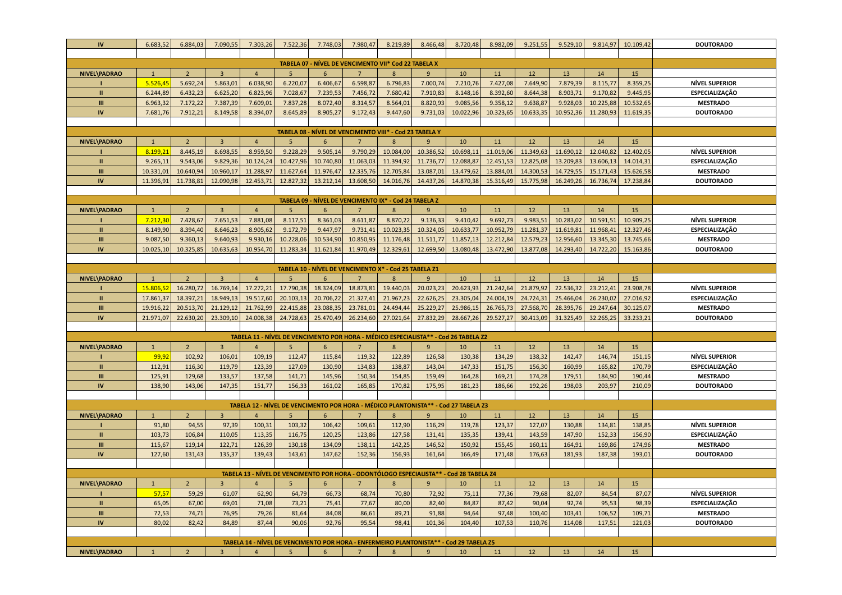| IV           | 6.683,52                                              | 6.884,03               | 7.090,55               | 7.303,26               | 7.522,36               | 7.748,03               | 7.980,47               | 8.219,89                                                | 8.466,48               | 8.720,48                                                                                 | 8.982,09               | 9.251,55               | 9.529,10               | 9.814,97               | 10.109,42              | <b>DOUTORADO</b>                               |
|--------------|-------------------------------------------------------|------------------------|------------------------|------------------------|------------------------|------------------------|------------------------|---------------------------------------------------------|------------------------|------------------------------------------------------------------------------------------|------------------------|------------------------|------------------------|------------------------|------------------------|------------------------------------------------|
|              |                                                       |                        |                        |                        |                        |                        |                        |                                                         |                        |                                                                                          |                        |                        |                        |                        |                        |                                                |
|              |                                                       |                        |                        |                        |                        |                        |                        | TABELA 07 - NÍVEL DE VENCIMENTO VII* Cod 22 TABELA X    |                        |                                                                                          |                        |                        |                        |                        |                        |                                                |
| NIVEL\PADRAO | $\mathbf{1}$                                          | $\overline{2}$         | $\overline{3}$         | $\overline{4}$         | -5                     | 6                      | 7                      | 8                                                       | 9                      | 10                                                                                       | 11                     | 12                     | 13                     | 14                     | 15                     |                                                |
|              | 5.526,45                                              | 5.692,24               | 5.863,01               | 6.038,90               | 6.220,07               | 6.406,67               | 6.598,87               | 6.796,83                                                | 7.000,74               | 7.210,76                                                                                 | 7.427,08               | 7.649,90               | 7.879,39               | 8.115,77               | 8.359,25               | <b>NÍVEL SUPERIOR</b>                          |
| $\mathbf{u}$ | 6.244,89                                              | 6.432,23               | 6.625,20               | 6.823,96               | 7.028,67               | 7.239,53               | 7.456,72               | 7.680,42                                                | 7.910,83               | 8.148,16                                                                                 | 8.392,60               | 8.644,38               | 8.903,71               | 9.170,82               | 9.445,95               | ESPECIALIZAÇÃO                                 |
| Ш            | 6.963,32                                              | 7.172,22               | 7.387,39               | 7.609,01               | 7.837,28               | 8.072,40               | 8.314,57               | 8.564,01                                                | 8.820,93               | 9.085,56                                                                                 | 9.358,12               | 9.638,87               | 9.928,03               | 10.225,88              | 10.532,65              | <b>MESTRADO</b>                                |
| IV           | 7.681,76                                              | 7.912,21               | 8.149,58               | 8.394,07               | 8.645,89               | 8.905,27               | 9.172,43               | 9.447,60                                                | 9.731,03               | 10.022,96                                                                                | 10.323,65              | 10.633,35              | 10.952,36              | 11.280,93              | 11.619,35              | <b>DOUTORADO</b>                               |
|              |                                                       |                        |                        |                        |                        |                        |                        |                                                         |                        |                                                                                          |                        |                        |                        |                        |                        |                                                |
|              |                                                       |                        |                        |                        |                        |                        |                        | TABELA 08 - NÍVEL DE VENCIMENTO VIII* - Cod 23 TABELA Y |                        |                                                                                          |                        |                        |                        |                        |                        |                                                |
| NIVEL\PADRAO | $\mathbf{1}$                                          | $\overline{2}$         | $\overline{3}$         | $\overline{4}$         | 5                      | $6\overline{6}$        | $\overline{7}$         | 8                                                       | 9                      | 10                                                                                       | 11                     | 12                     | 13                     | 14                     | 15                     |                                                |
|              | 8.199,21                                              | 8.445,19               | 8.698,55               | 8.959,50               | 9.228,29               | 9.505,14               | 9.790,29               | 10.084,00                                               | 10.386,52              | 10.698,11                                                                                | 11.019,06              | 11.349,63              | 11.690,12              | 12.040,82              | 12.402,05              | <b>NÍVEL SUPERIOR</b>                          |
| $\mathbf{I}$ | 9.265,11                                              | 9.543,06               | 9.829,36               | 10.124,24              | 10.427,96              | 10.740,80              | 11.063,03              | 11.394,92                                               | 11.736,77              | 12.088,87                                                                                | 12.451,53              | 12.825,08              | 13.209,83              | 13.606,13              | 14.014,31              | <b>ESPECIALIZAÇÃO</b>                          |
| Ш            | 10.331,01                                             | 10.640,94              | 10.960,17              | 11.288,97              | 11.627,64              | 11.976,47              | 12.335,76              | 12.705,84                                               | 13.087,01              | 13.479,62                                                                                | 13.884,01              | 14.300,53              | 14.729,55              | 15.171,43              | 15.626,58              | <b>MESTRADO</b>                                |
| IV           | 11.396,91                                             | 11.738,81              | 12.090,98              | 12.453,71              | 12.827,32              | 13.212,14              | 13.608,50              | 14.016,76                                               | 14.437,26              | 14.870,38                                                                                | 15.316,49              | 15.775,98              | 16.249,26              | 16.736,74              | 17.238,84              | <b>DOUTORADO</b>                               |
|              | TABELA 09 - NÍVEL DE VENCIMENTO IX* - Cod 24 TABELA Z |                        |                        |                        |                        |                        |                        |                                                         |                        |                                                                                          |                        |                        |                        |                        |                        |                                                |
|              |                                                       |                        |                        |                        |                        |                        |                        |                                                         |                        |                                                                                          |                        |                        |                        |                        |                        |                                                |
| NIVEL\PADRAO | $\overline{1}$                                        | $\overline{2}$         | $\overline{3}$         | $\overline{4}$         | 5 <sup>5</sup>         | 6                      | $\overline{7}$         | 8                                                       | 9                      | 10                                                                                       | 11                     | 12                     | 13                     | 14                     | 15                     |                                                |
|              | 7.212,30                                              | 7.428,67               | 7.651,53               | 7.881,08               | 8.117,51               | 8.361,03               | 8.611,87               | 8.870,22                                                | 9.136,33               | 9.410,42                                                                                 | 9.692,73               | 9.983,51               | 10.283,02              | 10.591,51              | 10.909,25              | <b>NÍVEL SUPERIOR</b>                          |
| $\mathbf{u}$ | 8.149,90                                              | 8.394,40               | 8.646,23               | 8.905,62               | 9.172,79               | 9.447,97               | 9.731,41               | 10.023,35                                               | 10.324,05              | 10.633,77                                                                                | 10.952,79              | 11.281,37              | 11.619,81              | 11.968,41              | 12.327,46              | <b>ESPECIALIZAÇÃO</b>                          |
| Ш            | 9.087,50                                              | 9.360,13               | 9.640,93               | 9.930,16               | 10.228,06              | 10.534,90              | 10.850,95              | 11.176,48                                               | 11.511,77              | 11.857,13                                                                                | 12.212,84              | 12.579,23              | 12.956,60              | 13.345,30              | 13.745,66              | <b>MESTRADO</b>                                |
| IV           | 10.025,10                                             | 10.325,85              | 10.635,63              | 10.954,70              | 11.283,34              | 11.621,84              | 11.970,49              | 12.329,61                                               | 12.699,50              | 13.080,48                                                                                | 13.472,90              | 13.877,08              | 14.293,40              | 14.722,20              | 15.163,86              | <b>DOUTORADO</b>                               |
|              | TABELA 10 - NÍVEL DE VENCIMENTO X* - Cod 25 TABELA Z1 |                        |                        |                        |                        |                        |                        |                                                         |                        |                                                                                          |                        |                        |                        |                        |                        |                                                |
|              |                                                       |                        |                        |                        |                        |                        | $\overline{7}$         | $\mathbf{8}$                                            |                        |                                                                                          |                        |                        |                        |                        |                        |                                                |
| NIVEL\PADRAO | $\mathbf{1}$                                          | 2                      | $\overline{3}$         | $\overline{4}$         | 5 <sup>5</sup>         | 6                      |                        |                                                         | $\overline{9}$         | 10                                                                                       | 11                     | 12                     | 13                     | 14                     | 15                     |                                                |
| $\mathbf{u}$ | 15.806,52<br>17.861,37                                | 16.280,72<br>18.397,21 | 16.769,14<br>18.949,13 | 17.272,21<br>19.517,60 | 17.790,38<br>20.103,13 | 18.324,09<br>20.706,22 | 18.873,81<br>21.327,41 | 19.440,03<br>21.967,23                                  | 20.023,23<br>22.626,25 | 20.623,93<br>23.305,04                                                                   | 21.242,64<br>24.004,19 | 21.879,92<br>24.724,31 | 22.536,32<br>25.466,04 | 23.212,41<br>26.230,02 | 23.908,78<br>27.016,92 | <b>NÍVEL SUPERIOR</b><br><b>ESPECIALIZAÇÃO</b> |
|              |                                                       |                        |                        |                        |                        |                        |                        |                                                         |                        |                                                                                          |                        |                        |                        |                        |                        |                                                |
| Ш<br>IV      | 19.916,22                                             | 20.513,70              | 21.129,12              | 21.762,99              | 22.415,88              | 23.088,35              | 23.781,01<br>26.234,60 | 24.494,44                                               | 25.229,27              | 25.986,15                                                                                | 26.765,73              | 27.568,70              | 28.395,76              | 29.247,64              | 30.125,07              | <b>MESTRADO</b>                                |
|              | 21.971,07                                             | 22.630,20              | 23.309,10              | 24.008,38              | 24.728,63              | 25.470,49              |                        | 27.021,64                                               | 27.832,29              | 28.667,26                                                                                | 29.527,27              | 30.413,09              | 31.325,49              | 32.265,25              | 33.233,21              | <b>DOUTORADO</b>                               |
|              |                                                       |                        |                        |                        |                        |                        |                        |                                                         |                        | TABELA 11 - NÍVEL DE VENCIMENTO POR HORA - MÉDICO ESPECIALISTA** - Cod 26 TABELA Z2      |                        |                        |                        |                        |                        |                                                |
| NIVEL\PADRAO | $\mathbf{1}$                                          | $\overline{2}$         | $\overline{3}$         | $\overline{4}$         | 5                      | 6                      | 7                      | 8                                                       | 9                      | 10                                                                                       | 11                     | 12                     | 13                     | 14                     | 15                     |                                                |
|              | 99,92                                                 | 102,92                 | 106,01                 | 109,19                 | 112,47                 | 115,84                 | 119,32                 | 122,89                                                  | 126,58                 | 130,38                                                                                   | 134,29                 | 138,32                 | 142,47                 | 146,74                 | 151,15                 | <b>NÍVEL SUPERIOR</b>                          |
| $\mathbf{u}$ | 112,91                                                | 116,30                 | 119,79                 | 123,39                 | 127,09                 | 130,90                 | 134,83                 | 138,87                                                  | 143,04                 | 147,33                                                                                   | 151,75                 | 156,30                 | 160,99                 | 165,82                 | 170,79                 | ESPECIALIZAÇÃO                                 |
| Ш            | 125,91                                                | 129,68                 | 133,57                 | 137,58                 | 141,71                 | 145,96                 | 150,34                 | 154,85                                                  | 159,49                 | 164,28                                                                                   | 169,21                 | 174,28                 | 179,51                 | 184,90                 | 190,44                 | <b>MESTRADO</b>                                |
| IV           | 138,90                                                | 143,06                 | 147,35                 | 151,77                 | 156,33                 | 161,02                 | 165,85                 | 170,82                                                  | 175,95                 | 181,23                                                                                   | 186,66                 | 192,26                 | 198,03                 | 203,97                 | 210,09                 | <b>DOUTORADO</b>                               |
|              |                                                       |                        |                        |                        |                        |                        |                        |                                                         |                        |                                                                                          |                        |                        |                        |                        |                        |                                                |
|              |                                                       |                        |                        |                        |                        |                        |                        |                                                         |                        | TABELA 12 - NÍVEL DE VENCIMENTO POR HORA - MÉDICO PLANTONISTA** - Cod 27 TABELA Z3       |                        |                        |                        |                        |                        |                                                |
| NIVEL\PADRAO | $\mathbf{1}$                                          | $\overline{2}$         | $\overline{3}$         | $\overline{4}$         | 5                      | 6                      |                        | $\mathbf{8}$                                            | 9                      | 10                                                                                       | 11                     | 12 <sup>2</sup>        | 13                     | 14                     | 15                     |                                                |
|              | 91,80                                                 | 94,55                  | 97,39                  | 100,31                 | 103,32                 | 106,42                 | 109,61                 | 112,90                                                  | 116,29                 | 119,78                                                                                   | 123,37                 | 127,07                 | 130,88                 | 134,81                 | 138,85                 | <b>NÍVEL SUPERIOR</b>                          |
| Ш            | 103,73                                                | 106,84                 | 110,05                 | 113,35                 | 116,75                 | 120,25                 | 123,86                 | 127,58                                                  | 131,41                 | 135,35                                                                                   | 139,41                 | 143,59                 | 147,90                 | 152,33                 | 156,90                 | ESPECIALIZAÇÃO                                 |
| Ш            | 115,67                                                | 119,14                 | 122,71                 | 126,39                 | 130,18                 | 134,09                 | 138,11                 | 142,25                                                  | 146,52                 | 150,92                                                                                   | 155,45                 | 160,11                 | 164,91                 | 169,86                 | 174,96                 | <b>MESTRADO</b>                                |
| IV           | 127,60                                                | 131,43                 | 135,37                 | 139,43                 | 143,61                 | 147,62                 | 152,36                 | 156,93                                                  | 161,64                 | 166,49                                                                                   | 171,48                 | 176,63                 | 181,93                 | 187,38                 | 193,01                 | <b>DOUTORADO</b>                               |
|              |                                                       |                        |                        |                        |                        |                        |                        |                                                         |                        |                                                                                          |                        |                        |                        |                        |                        |                                                |
|              |                                                       |                        |                        |                        |                        |                        |                        |                                                         |                        | TABELA 13 - NÍVEL DE VENCIMENTO POR HORA - ODONTÓLOGO ESPECIALISTA ** - Cod 28 TABELA 24 |                        |                        |                        |                        |                        |                                                |
| NIVEL\PADRAO | $\mathbf{1}$                                          | $2^{\circ}$            | $\overline{3}$         | $\overline{4}$         | 5                      | 6                      | $\overline{7}$         | 8                                                       | 9                      | 10                                                                                       | 11                     | 12                     | 13                     | 14                     | 15                     |                                                |
|              | 57,57                                                 | 59,29                  | 61,07                  | 62,90                  | 64,79                  | 66,73                  | 68,74                  | 70,80                                                   | 72,92                  | 75,11                                                                                    | 77,36                  | 79,68                  | 82,07                  | 84,54                  | 87,07                  | <b>NÍVEL SUPERIOR</b>                          |
| $\mathbf{u}$ | 65,05                                                 | 67,00                  | 69,01                  | 71,08                  | 73,21                  | 75,41                  | 77,67                  | 80,00                                                   | 82,40                  | 84,87                                                                                    | 87,42                  | 90,04                  | 92,74                  | 95,53                  | 98,39                  | ESPECIALIZAÇÃO                                 |
| Ш            | 72,53                                                 | 74,71                  | 76,95                  | 79,26                  | 81,64                  | 84,08                  | 86,61                  | 89,21                                                   | 91,88                  | 94,64                                                                                    | 97,48                  | 100,40                 | 103,41                 | 106,52                 | 109,71                 | <b>MESTRADO</b>                                |
| IV           | 80,02                                                 | 82,42                  | 84,89                  | 87,44                  | 90,06                  | 92,76                  | 95,54                  | 98,41                                                   | 101,36                 | 104,40                                                                                   | 107,53                 | 110,76                 | 114,08                 | 117,51                 | 121,03                 | <b>DOUTORADO</b>                               |
|              |                                                       |                        |                        |                        |                        |                        |                        |                                                         |                        |                                                                                          |                        |                        |                        |                        |                        |                                                |
|              |                                                       |                        |                        |                        |                        |                        |                        |                                                         |                        | TABELA 14 - NÍVEL DE VENCIMENTO POR HORA - ENFERMEIRO PLANTONISTA** - Cod 29 TABELA Z5   |                        |                        |                        |                        |                        |                                                |
| NIVEL\PADRAO |                                                       | $\overline{2}$         | $\overline{3}$         | $\overline{4}$         | $\overline{5}$         | 6                      |                        | $\overline{8}$                                          | 9                      | 10                                                                                       | 11                     | 12                     | 13                     | 14                     | 15                     |                                                |